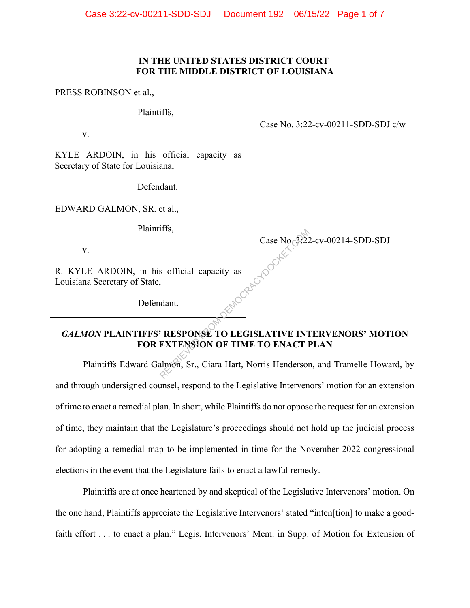### **IN THE UNITED STATES DISTRICT COURT FOR THE MIDDLE DISTRICT OF LOUISIANA**

PRESS ROBINSON et al.,

Plaintiffs,

v.

KYLE ARDOIN, in his official capacity as Secretary of State for Louisiana,

Defendant.

EDWARD GALMON, SR. et al.,

Plaintiffs,

v.

R. KYLE ARDOIN, in his official capacity as Louisiana Secretary of State,

Defendant.

Case No. 3:22-cv-00211-SDD-SDJ c/w

Case No. 3:22-cv-00214-SDD-SDJ

# *GALMON* **PLAINTIFFS' RESPONSE TO LEGISLATIVE INTERVENORS' MOTION FOR EXTENSION OF TIME TO ENACT PLAN** Case No Response To Legislative INCREASE To LEGISLATIVE INTEXTENSION OF TIME TO ENACT I

Plaintiffs Edward Galmon, Sr., Ciara Hart, Norris Henderson, and Tramelle Howard, by and through undersigned counsel, respond to the Legislative Intervenors' motion for an extension of time to enact a remedial plan. In short, while Plaintiffs do not oppose the request for an extension of time, they maintain that the Legislature's proceedings should not hold up the judicial process for adopting a remedial map to be implemented in time for the November 2022 congressional elections in the event that the Legislature fails to enact a lawful remedy.

Plaintiffs are at once heartened by and skeptical of the Legislative Intervenors' motion. On the one hand, Plaintiffs appreciate the Legislative Intervenors' stated "inten[tion] to make a goodfaith effort . . . to enact a plan." Legis. Intervenors' Mem. in Supp. of Motion for Extension of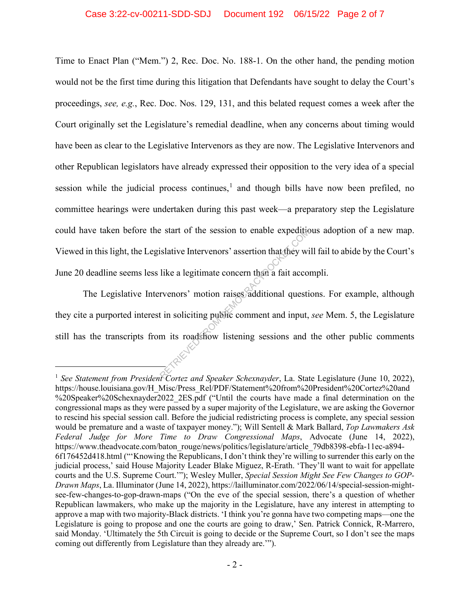#### Case 3:22-cv-00211-SDD-SDJ Document 192 06/15/22 Page 2 of 7

Time to Enact Plan ("Mem.") 2, Rec. Doc. No. 188-1. On the other hand, the pending motion would not be the first time during this litigation that Defendants have sought to delay the Court's proceedings, *see, e.g.*, Rec. Doc. Nos. 129, 131, and this belated request comes a week after the Court originally set the Legislature's remedial deadline, when any concerns about timing would have been as clear to the Legislative Intervenors as they are now. The Legislative Intervenors and other Republican legislators have already expressed their opposition to the very idea of a special session while the judicial process continues, $<sup>1</sup>$  and though bills have now been prefiled, no</sup> committee hearings were undertaken during this past week—a preparatory step the Legislature could have taken before the start of the session to enable expeditious adoption of a new map. Viewed in this light, the Legislative Intervenors' assertion that they will fail to abide by the Court's June 20 deadline seems less like a legitimate concern than a fait accompli.

The Legislative Intervenors' motion raises additional questions. For example, although they cite a purported interest in soliciting public comment and input, *see* Mem. 5, the Legislature still has the transcripts from its roadshow listening sessions and the other public comments Exact of the session to enable expeditive<br>islative Intervenors' assertion that they will<br>like a legitimate concern than a fait accor<br>rvenors' motion raises additional questit<br>in soliciting public comment and input,<br>in its

<sup>1</sup> *See Statement from President Cortez and Speaker Schexnayder*, La. State Legislature (June 10, 2022), https://house.louisiana.gov/H\_Misc/Press\_Rel/PDF/Statement%20from%20President%20Cortez%20and %20Speaker%20Schexnayder2022\_2ES.pdf ("Until the courts have made a final determination on the congressional maps as they were passed by a super majority of the Legislature, we are asking the Governor to rescind his special session call. Before the judicial redistricting process is complete, any special session would be premature and a waste of taxpayer money."); Will Sentell & Mark Ballard, *Top Lawmakers Ask Federal Judge for More Time to Draw Congressional Maps*, Advocate (June 14, 2022), https://www.theadvocate.com/baton\_rouge/news/politics/legislature/article\_79db8398-ebfa-11ec-a894-6f176452d418.html ("'Knowing the Republicans, I don't think they're willing to surrender this early on the judicial process,' said House Majority Leader Blake Miguez, R-Erath. 'They'll want to wait for appellate courts and the U.S. Supreme Court.'"); Wesley Muller, *Special Session Might See Few Changes to GOP-Drawn Maps*, La. Illuminator (June 14, 2022), https://lailluminator.com/2022/06/14/special-session-mightsee-few-changes-to-gop-drawn-maps ("On the eve of the special session, there's a question of whether Republican lawmakers, who make up the majority in the Legislature, have any interest in attempting to approve a map with two majority-Black districts. 'I think you're gonna have two competing maps—one the Legislature is going to propose and one the courts are going to draw,' Sen. Patrick Connick, R-Marrero, said Monday. 'Ultimately the 5th Circuit is going to decide or the Supreme Court, so I don't see the maps coming out differently from Legislature than they already are.'").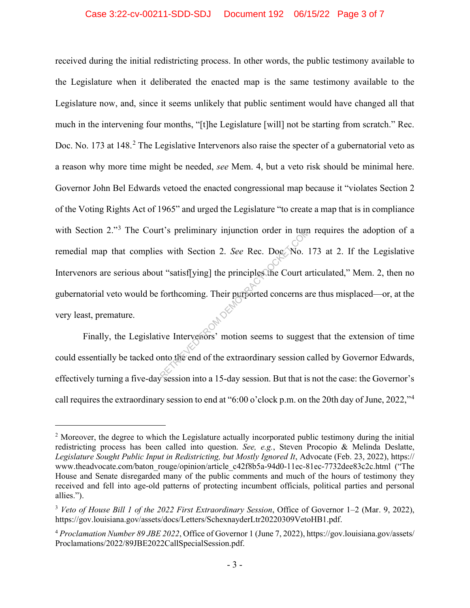# Case 3:22-cv-00211-SDD-SDJ Document 192 06/15/22 Page 3 of 7

received during the initial redistricting process. In other words, the public testimony available to the Legislature when it deliberated the enacted map is the same testimony available to the Legislature now, and, since it seems unlikely that public sentiment would have changed all that much in the intervening four months, "[t]he Legislature [will] not be starting from scratch." Rec. Doc. No. 173 at 148.<sup>2</sup> The Legislative Intervenors also raise the specter of a gubernatorial veto as a reason why more time might be needed, *see* Mem. 4, but a veto risk should be minimal here. Governor John Bel Edwards vetoed the enacted congressional map because it "violates Section 2 of the Voting Rights Act of 1965" and urged the Legislature "to create a map that is in compliance with Section 2."<sup>3</sup> The Court's preliminary injunction order in turn requires the adoption of a remedial map that complies with Section 2. *See* Rec. Doc. No. 173 at 2. If the Legislative Intervenors are serious about "satisf[ying] the principles the Court articulated," Mem. 2, then no gubernatorial veto would be forthcoming. Their purported concerns are thus misplaced—or, at the very least, premature. ref 's preliminary injunction order in turn<br>s with Section 2. See Rec. Dog No. 1<br>it "satisf[ying] the principles the Court and<br>forthcoming. Their purported concerns as<br>the contract of the extraordinary session control the

Finally, the Legislative Intervenors' motion seems to suggest that the extension of time could essentially be tacked onto the end of the extraordinary session called by Governor Edwards, effectively turning a five-day session into a 15-day session. But that is not the case: the Governor's call requires the extraordinary session to end at "6:00 o'clock p.m. on the 20th day of June, 2022,"<sup>4</sup>

<sup>&</sup>lt;sup>2</sup> Moreover, the degree to which the Legislature actually incorporated public testimony during the initial redistricting process has been called into question. *See, e.g.*, Steven Procopio & Melinda Deslatte, *Legislature Sought Public Input in Redistricting, but Mostly Ignored It*, Advocate (Feb. 23, 2022), https:// www.theadvocate.com/baton\_rouge/opinion/article\_c42f8b5a-94d0-11ec-81ec-7732dee83c2c.html ("The House and Senate disregarded many of the public comments and much of the hours of testimony they received and fell into age-old patterns of protecting incumbent officials, political parties and personal allies.").

<sup>3</sup> *Veto of House Bill 1 of the 2022 First Extraordinary Session*, Office of Governor 1–2 (Mar. 9, 2022), https://gov.louisiana.gov/assets/docs/Letters/SchexnayderLtr20220309VetoHB1.pdf.

<sup>4</sup> *Proclamation Number 89 JBE 2022*, Office of Governor 1 (June 7, 2022), https://gov.louisiana.gov/assets/ Proclamations/2022/89JBE2022CallSpecialSession.pdf.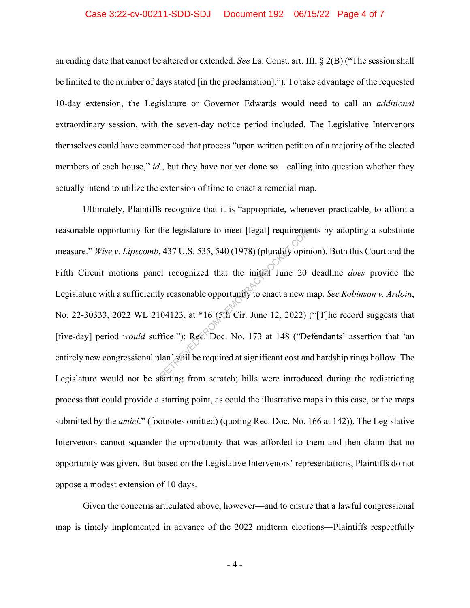#### Case 3:22-cv-00211-SDD-SDJ Document 192 06/15/22 Page 4 of 7

an ending date that cannot be altered or extended. *See* La. Const. art. III, § 2(B) ("The session shall be limited to the number of days stated [in the proclamation]."). To take advantage of the requested 10-day extension, the Legislature or Governor Edwards would need to call an *additional* extraordinary session, with the seven-day notice period included. The Legislative Intervenors themselves could have commenced that process "upon written petition of a majority of the elected members of each house," *id.*, but they have not yet done so—calling into question whether they actually intend to utilize the extension of time to enact a remedial map.

Ultimately, Plaintiffs recognize that it is "appropriate, whenever practicable, to afford a reasonable opportunity for the legislature to meet [legal] requirements by adopting a substitute measure." *Wise v. Lipscomb*, 437 U.S. 535, 540 (1978) (plurality opinion). Both this Court and the Fifth Circuit motions panel recognized that the initial June 20 deadline *does* provide the Legislature with a sufficiently reasonable opportunity to enact a new map. *See Robinson v. Ardoin*, No. 22-30333, 2022 WL 2104123, at \*16 (5th Cir. June 12, 2022) ("[T]he record suggests that [five-day] period *would* suffice."); Rec. Doc. No. 173 at 148 ("Defendants' assertion that 'an entirely new congressional plan' will be required at significant cost and hardship rings hollow. The Legislature would not be starting from scratch; bills were introduced during the redistricting process that could provide a starting point, as could the illustrative maps in this case, or the maps submitted by the *amici*." (footnotes omitted) (quoting Rec. Doc. No. 166 at 142)). The Legislative Intervenors cannot squander the opportunity that was afforded to them and then claim that no opportunity was given. But based on the Legislative Intervenors' representations, Plaintiffs do not oppose a modest extension of 10 days. the legislature to meet [legal] requirements, 437 U.S. 535, 540 (1978) (plurality opin<br>
el recognized that the initial June 20<br>
y reasonable opportunity to enact a new r<br>
04123, at \*16 (5th Cir. June 12, 2022)<br>
fice."); Re

Given the concerns articulated above, however—and to ensure that a lawful congressional map is timely implemented in advance of the 2022 midterm elections—Plaintiffs respectfully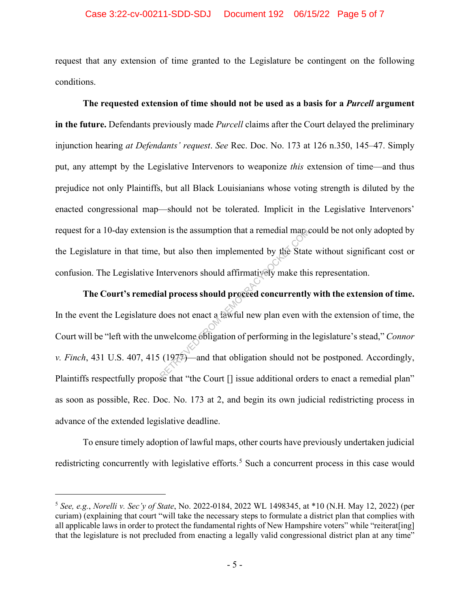# Case 3:22-cv-00211-SDD-SDJ Document 192 06/15/22 Page 5 of 7

request that any extension of time granted to the Legislature be contingent on the following conditions.

**The requested extension of time should not be used as a basis for a** *Purcell* **argument in the future.** Defendants previously made *Purcell* claims after the Court delayed the preliminary injunction hearing *at Defendants' request*. *See* Rec. Doc. No. 173 at 126 n.350, 145–47. Simply put, any attempt by the Legislative Intervenors to weaponize *this* extension of time—and thus prejudice not only Plaintiffs, but all Black Louisianians whose voting strength is diluted by the enacted congressional map—should not be tolerated. Implicit in the Legislative Intervenors' request for a 10-day extension is the assumption that a remedial map could be not only adopted by the Legislature in that time, but also then implemented by the State without significant cost or confusion. The Legislative Intervenors should affirmatively make this representation.

**The Court's remedial process should proceed concurrently with the extension of time.**  In the event the Legislature does not enact a lawful new plan even with the extension of time, the Court will be "left with the unwelcome obligation of performing in the legislature's stead," *Connor v. Finch*, 431 U.S. 407, 415 (1977)—and that obligation should not be postponed. Accordingly, Plaintiffs respectfully propose that "the Court  $\lceil \rceil$  issue additional orders to enact a remedial plan" as soon as possible, Rec. Doc. No. 173 at 2, and begin its own judicial redistricting process in advance of the extended legislative deadline. on is the assumption that a remedial map.<br>
but also then implemented by the State<br>
intervenors should affirmatively make thi<br> **al process should proceed concurrently**<br>
does not enact a fawful new plan even wis<br>
mwelcome eb

To ensure timely adoption of lawful maps, other courts have previously undertaken judicial redistricting concurrently with legislative efforts.<sup>5</sup> Such a concurrent process in this case would

<sup>5</sup> *See, e.g.*, *Norelli v. Sec'y of State*, No. 2022-0184, 2022 WL 1498345, at \*10 (N.H. May 12, 2022) (per curiam) (explaining that court "will take the necessary steps to formulate a district plan that complies with all applicable laws in order to protect the fundamental rights of New Hampshire voters" while "reiterat[ing] that the legislature is not precluded from enacting a legally valid congressional district plan at any time"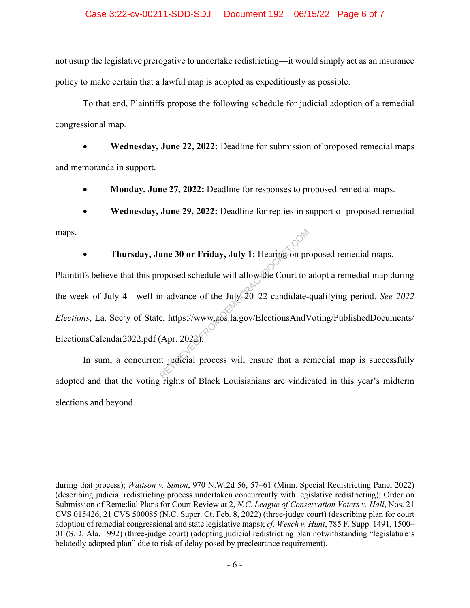#### Case 3:22-cv-00211-SDD-SDJ Document 192 06/15/22 Page 6 of 7

not usurp the legislative prerogative to undertake redistricting—it would simply act as an insurance policy to make certain that a lawful map is adopted as expeditiously as possible.

To that end, Plaintiffs propose the following schedule for judicial adoption of a remedial congressional map.

• **Wednesday, June 22, 2022:** Deadline for submission of proposed remedial maps and memoranda in support.

• **Monday, June 27, 2022:** Deadline for responses to proposed remedial maps.

• **Wednesday, June 29, 2022:** Deadline for replies in support of proposed remedial

maps.

• **Thursday, June 30 or Friday, July 1:** Hearing on proposed remedial maps.

Plaintiffs believe that this proposed schedule will allow the Court to adopt a remedial map during the week of July 4—well in advance of the July 20–22 candidate-qualifying period. *See 2022 Elections*, La. Sec'y of State, https://www.sos.la.gov/ElectionsAndVoting/PublishedDocuments/ ElectionsCalendar2022.pdf (Apr. 2022). une 30 or Friday, July 1: Hearing on proposed schedule will allow the Court to a<br>n advance of the July 20–22 candidate-<br>e, https://www.sos.la.gov/ElectionsAndV<br>(Apr. 2022):

In sum, a concurrent judicial process will ensure that a remedial map is successfully adopted and that the voting rights of Black Louisianians are vindicated in this year's midterm elections and beyond.

during that process); *Wattson v. Simon*, 970 N.W.2d 56, 57–61 (Minn. Special Redistricting Panel 2022) (describing judicial redistricting process undertaken concurrently with legislative redistricting); Order on Submission of Remedial Plans for Court Review at 2, *N.C. League of Conservation Voters v. Hall*, Nos. 21 CVS 015426, 21 CVS 500085 (N.C. Super. Ct. Feb. 8, 2022) (three-judge court) (describing plan for court adoption of remedial congressional and state legislative maps); *cf. Wesch v. Hunt*, 785 F. Supp. 1491, 1500– 01 (S.D. Ala. 1992) (three-judge court) (adopting judicial redistricting plan notwithstanding "legislature's belatedly adopted plan" due to risk of delay posed by preclearance requirement).